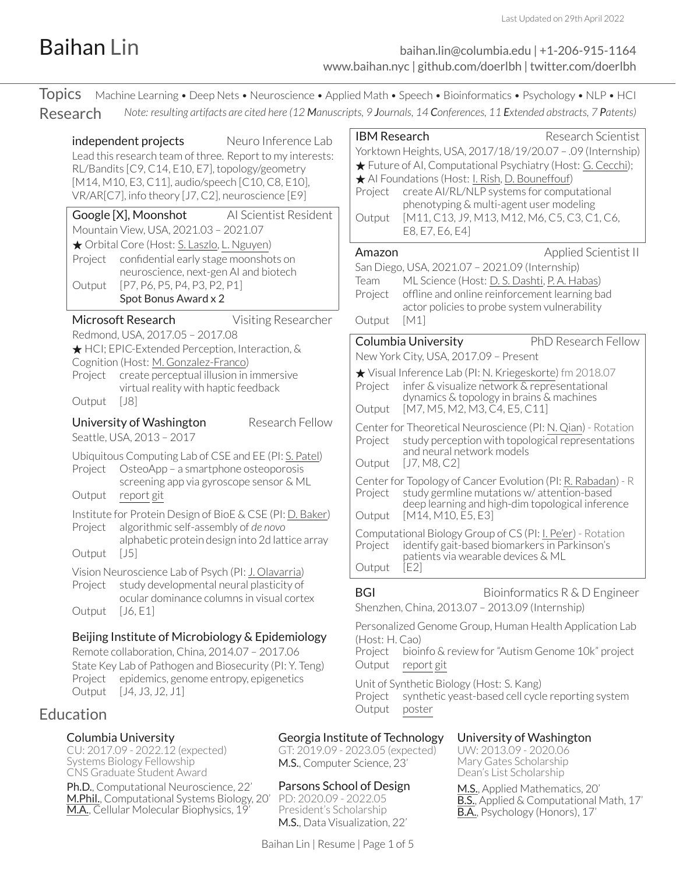### <span id="page-0-0"></span>Baihan Lin [baihan.lin@columbia.edu](mailto:baihan.lin@columbia.edu) | +1-206-915-1164 [www.baihan.nyc](https://www.baihan.nyc) | [github.com/doerlbh](https://github.com/doerlbh) | [twitter.com/doerlbh](https://twitter.com/doerlbh)

| <b>Topics</b> Machine Learning • Deep Nets • Neuroscience • Applied Math • Speech • Bioinformatics • Psychology • NLP • HCl                                                                                                                                                                                                          |                                                                                                                                                                                                                                                                                                                                                                                                                                                                                                                  |  |  |  |
|--------------------------------------------------------------------------------------------------------------------------------------------------------------------------------------------------------------------------------------------------------------------------------------------------------------------------------------|------------------------------------------------------------------------------------------------------------------------------------------------------------------------------------------------------------------------------------------------------------------------------------------------------------------------------------------------------------------------------------------------------------------------------------------------------------------------------------------------------------------|--|--|--|
| Research<br>Neuro Inference Lab<br>independent projects<br>Lead this research team of three. Report to my interests:<br>RL/Bandits [C9, C14, E10, E7], topology/geometry<br>[M14, M10, E3, C11], audio/speech [C10, C8, E10],<br>VR/AR[C7], info theory [J7, C2], neuroscience [E9]<br>Google [X], Moonshot<br>Al Scientist Resident | Note: resulting artifacts are cited here (12 Manuscripts, 9 Journals, 14 Conferences, 11 Extended abstracts, 7 Patents)<br><b>IBM Research</b><br>Research Scientist<br>Yorktown Heights, USA, 2017/18/19/20.07 - .09 (Internship)<br>★ Future of AI, Computational Psychiatry (Host: G. Cecchi);<br>Al Foundations (Host: I. Rish, D. Bouneffouf)<br>create AI/RL/NLP systems for computational<br>Project<br>phenotyping & multi-agent user modeling<br>[M11, C13, J9, M13, M12, M6, C5, C3, C1, C6,<br>Output |  |  |  |
| Mountain View, USA, 2021.03 - 2021.07<br>★ Orbital Core (Host: S. Laszlo, L. Nguyen)<br>confidential early stage moonshots on<br>Project<br>neuroscience, next-gen AI and biotech<br>[P7, P6, P5, P4, P3, P2, P1]<br>Output<br>Spot Bonus Award x 2<br>Microsoft Research<br>Visiting Researcher                                     | E8, E7, E6, E4]<br>Applied Scientist II<br>Amazon<br>San Diego, USA, 2021.07 - 2021.09 (Internship)<br>ML Science (Host: D. S. Dashti, P. A. Habas)<br>Team<br>offline and online reinforcement learning bad<br>Project<br>actor policies to probe system vulnerability<br>Output<br>[M1]                                                                                                                                                                                                                        |  |  |  |
| Redmond, USA, 2017.05 - 2017.08<br>★ HCI; EPIC-Extended Perception, Interaction, &<br>Cognition (Host: M. Gonzalez-Franco)<br>create perceptual illusion in immersive<br>Project<br>virtual reality with haptic feedback<br>Output<br>[J8]<br>Research Fellow                                                                        | Columbia University<br>PhD Research Fellow<br>New York City, USA, 2017.09 - Present<br>★ Visual Inference Lab (PI: N. Kriegeskorte) fm 2018.07<br>infer & visualize network & representational<br>Project<br>dynamics & topology in brains & machines<br>[M7, M5, M2, M3, C4, E5, C11]<br>Output                                                                                                                                                                                                                 |  |  |  |
| University of Washington<br>Seattle, USA, 2013 - 2017<br>Ubiquitous Computing Lab of CSE and EE (PI: S. Patel)<br>OsteoApp - a smartphone osteoporosis<br>Project<br>screening app via gyroscope sensor & ML<br>Output<br>report git<br>Institute for Protein Design of BioE & CSE (PI: D. Baker)                                    | Center for Theoretical Neuroscience (PI: N. Qian) - Rotation<br>study perception with topological representations<br>Project<br>and neural network models<br>[J7, M8, C2]<br>Output<br>Center for Topology of Cancer Evolution (PI: R. Rabadan) - R<br>study germline mutations w/ attention-based<br>Project<br>deep learning and high-dim topological inference<br>[M14, M10, E5, E3]<br>Output                                                                                                                |  |  |  |
| algorithmic self-assembly of de novo<br>Project<br>alphabetic protein design into 2d lattice array<br>$[J5]$<br>Output<br>Vision Neuroscience Lab of Psych (PI: J. Olavarria)<br>Project study developmental neural plasticity of                                                                                                    | Computational Biology Group of CS (PI: I. Pe'er) - Rotation<br>identify gait-based biomarkers in Parkinson's<br>Project<br>patients via wearable devices & ML<br>E2<br>Output                                                                                                                                                                                                                                                                                                                                    |  |  |  |
| ocular dominance columns in visual cortex<br>Output<br>[J6, E1]<br>Beijing Institute of Microbiology & Epidemiology<br>Remote collaboration, China, 2014.07 - 2017.06<br>State Key Lab of Pathogen and Biosecurity (PI: Y. Teng)<br>epidemics, genome entropy, epigenetics<br>Project<br>[J4, J3, J2, J1]<br>Output                  | <b>BGI</b><br>Bioinformatics R & D Engineer<br>Shenzhen, China, 2013.07 - 2013.09 (Internship)<br>Personalized Genome Group, Human Health Application Lab<br>(Host: H. Cao)<br>bioinfo & review for "Autism Genome 10k" project<br>Project<br>Output<br>report git<br>Unit of Synthetic Biology (Host: S. Kang)<br>Project synthetic yeast-based cell cycle reporting system                                                                                                                                     |  |  |  |

## Education **Exercise Education Contract Education Education Education Education Education Education Education Education Education Education Education Education Education Education Education E**

### Columbia University

CU: 2017.09 - 2022.12 (expected) Systems Biology Fellowship CNS Graduate Student Award

Ph.D., Computational Neuroscience, 22' [M.Phil.](https://app.box.com/s/9nisqurv7w28o7glnvbdec3xckxaffjo), Computational Systems Biology, 20' [M.A.](https://app.box.com/s/i88y15ao7h6qixss7flbdgj28cvtwec3), Cellular Molecular Biophysics, 19'

### Georgia Institute of Technology

GT: 2019.09 - 2023.05 (expected) M.S., Computer Science, 23'

### Parsons School of Design

PD: 2020.09 - 2022.05 President's Scholarship M.S., Data Visualization, 22'

Baihan Lin | Resume | Page 1 of [5](#page-4-0)

### University of Washington

UW: 2013.09 - 2020.06 Mary Gates Scholarship Dean's List Scholarship

[M.S.](https://app.box.com/s/9otpbb0cu2hwbxe8dsgtryulrd54u7g0), Applied Mathematics, 20' [B.S.](https://app.box.com/s/lh1ta733eicdwc4m19t5f2n1h3ktdcfy), Applied & Computational Math, 17' [B.A.](https://app.box.com/s/twkzxj47oq0h7rojqtelkqmz7uz5k5xj), Psychology (Honors), 17'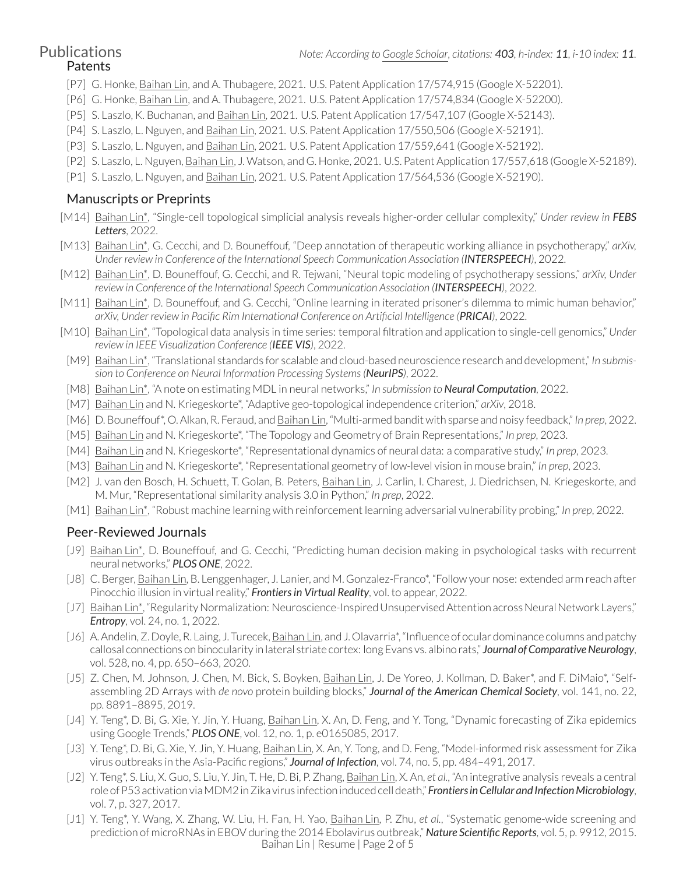# Patents

- [P7] G. Honke, Baihan Lin, and A. Thubagere, 2021. U.S. Patent Application 17/574,915 (Google X-52201).
- [P6] G. Honke, Baihan Lin, and A. Thubagere, 2021. U.S. Patent Application 17/574,834 (Google X-52200).
- [P5] S. Laszlo, K. Buchanan, and Baihan Lin, 2021. U.S. Patent Application 17/547,107 (Google X-52143).
- [P4] S. Laszlo, L. Nguyen, and Baihan Lin, 2021. U.S. Patent Application 17/550,506 (Google X-52191).
- [P3] S. Laszlo, L. Nguyen, and Baihan Lin, 2021. U.S. Patent Application 17/559,641 (Google X-52192).
- [P2] S. Laszlo, L. Nguyen, Baihan Lin, J. Watson, and G. Honke, 2021. U.S. Patent Application 17/557,618 (Google X-52189).
- [P1] S. Laszlo, L. Nguyen, and Baihan Lin, 2021. U.S. Patent Application 17/564,536 (Google X-52190).

### Manuscripts or Preprints

- [M14] Baihan Lin\*, "Single-cell topological simplicial analysis reveals higher-order cellular complexity," *Under review in FEBS Letters*, 2022.
- [M13] Baihan Lin\*, G. Cecchi, and D. Bouneffouf, "Deep annotation of therapeutic working alliance in psychotherapy," *arXiv, Under review in Conference of the International Speech Communication Association (INTERSPEECH)*, 2022.
- [M12] Baihan Lin\*, D. Bouneffouf, G. Cecchi, and R. Tejwani, "Neural topic modeling of psychotherapy sessions," *arXiv, Under review in Conference of the International Speech Communication Association (INTERSPEECH)*, 2022.
- [M11] Baihan Lin\*, D. Bouneffouf, and G. Cecchi, "Online learning in iterated prisoner's dilemma to mimic human behavior," *arXiv, Under review in Pacific Rim International Conference on Artificial Intelligence (PRICAI)*, 2022.
- [M10] Baihan Lin\*, "Topological data analysis in time series: temporal filtration and application to single-cell genomics," *Under review in IEEE Visualization Conference (IEEE VIS)*, 2022.
- [M9] Baihan Lin\*, "Translational standards for scalable and cloud-based neuroscience research and development," *In submission to Conference on Neural Information Processing Systems(NeurIPS)*, 2022.
- [M8] Baihan Lin\*, "A note on estimating MDL in neural networks," *In submission to Neural Computation*, 2022.
- [M7] Baihan Lin and N. Kriegeskorte\*, "Adaptive geo-topological independence criterion," *arXiv*, 2018.
- [M6] D. Bouneffouf\*, O.Alkan, R. Feraud, and Baihan Lin, "Multi-armed bandit with sparse and noisy feedback,"*In prep*, 2022.
- [M5] Baihan Lin and N. Kriegeskorte\*, "The Topology and Geometry of Brain Representations," *In prep*, 2023.
- [M4] Baihan Lin and N. Kriegeskorte\*, "Representational dynamics of neural data: a comparative study," *In prep*, 2023.
- [M3] Baihan Lin and N. Kriegeskorte\*, "Representational geometry of low-level vision in mouse brain," *In prep*, 2023.
- [M2] J. van den Bosch, H. Schuett, T. Golan, B. Peters, Baihan Lin, J. Carlin, I. Charest, J. Diedrichsen, N. Kriegeskorte, and M. Mur, "Representational similarity analysis 3.0 in Python," *In prep*, 2022.
- [M1] Baihan Lin\*, "Robust machine learning with reinforcement learning adversarial vulnerability probing," *In prep*, 2022.

### Peer-Reviewed Journals

- [J9] Baihan Lin\*, D. Bouneffouf, and G. Cecchi, "Predicting human decision making in psychological tasks with recurrent neural networks," *PLOS ONE*, 2022.
- [J8] C. Berger, Baihan Lin, B. Lenggenhager, J. Lanier, and M. Gonzalez-Franco\*, "Follow your nose: extended arm reach after Pinocchio illusion in virtual reality," *Frontiers in Virtual Reality*, vol. to appear, 2022.
- [J7] Baihan Lin\*, "Regularity Normalization: Neuroscience-Inspired Unsupervised Attention across Neural Network Layers," *Entropy*, vol. 24, no. 1, 2022.
- [J6] A. Andelin, Z. Doyle, R. Laing, J. Turecek, Baihan Lin, and J. Olavarria\*, "Influence of ocular dominance columns and patchy callosal connections on binocularity in lateral striate cortex: long Evans vs. albino rats," **Journal of Comparative Neurology**, vol. 528, no. 4, pp. 650–663, 2020.
- [J5] Z. Chen, M. Johnson, J. Chen, M. Bick, S. Boyken, Baihan Lin, J. De Yoreo, J. Kollman, D. Baker\*, and F. DiMaio\*, "Selfassembling 2D Arrays with *de novo* protein building blocks," *Journal of the American Chemical Society*, vol. 141, no. 22, pp. 8891–8895, 2019.
- [J4] Y. Teng<sup>\*</sup>, D. Bi, G. Xie, Y. Jin, Y. Huang, Baihan Lin, X. An, D. Feng, and Y. Tong, "Dynamic forecasting of Zika epidemics using Google Trends," *PLOS ONE*, vol. 12, no. 1, p. e0165085, 2017.
- [J3] Y. Teng\*, D. Bi, G. Xie, Y. Jin, Y. Huang, Baihan Lin, X. An, Y. Tong, and D. Feng, "Model-informed risk assessment for Zika virus outbreaks in the Asia-Pacific regions," *Journal of Infection*, vol. 74, no. 5, pp. 484–491, 2017.
- [J2] Y. Teng\*, S. Liu, X. Guo, S. Liu, Y. Jin, T. He, D. Bi, P. Zhang, Baihan Lin, X. An, *et al.*, "An integrative analysis reveals a central roleofP53activationviaMDM2inZika virus infectioninducedcelldeath," *FrontiersinCellular and InfectionMicrobiology*, vol. 7, p. 327, 2017.
- [J1] Y. Teng\*, Y. Wang, X. Zhang, W. Liu, H. Fan, H. Yao, Baihan Lin, P. Zhu, *et al.*, "Systematic genome-wide screening and prediction of microRNAs in EBOV during the 2014 Ebolavirus outbreak," *Nature Scientific Reports*, vol. 5, p. 9912, 2015. Baihan Lin | Resume | Page 2 of [5](#page-4-0)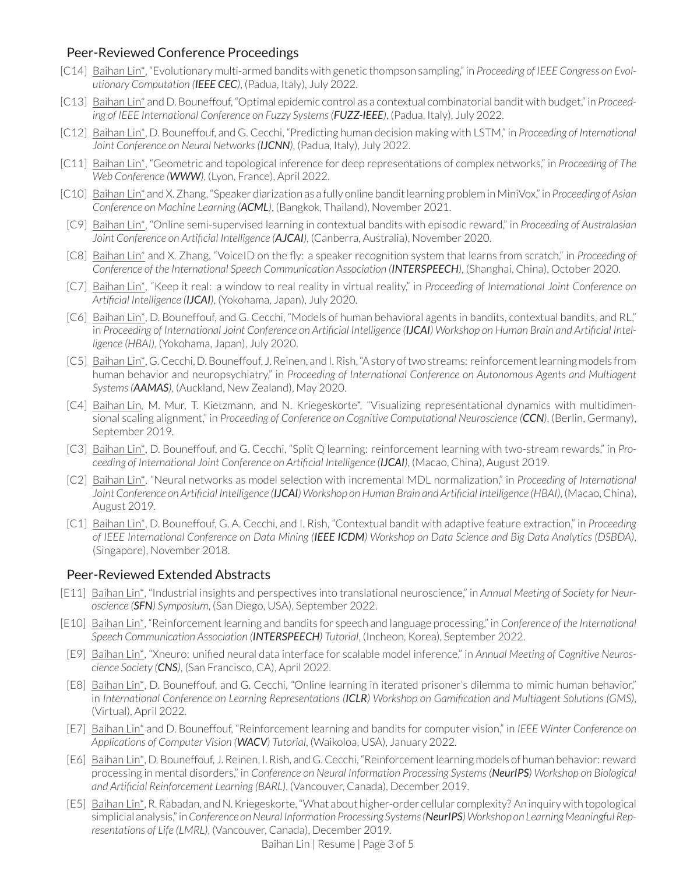### Peer-Reviewed Conference Proceedings

- [C14] Baihan Lin\*, "Evolutionary multi-armed bandits with genetic thompson sampling," in *Proceeding of IEEE Congress on Evolutionary Computation (IEEE CEC)*, (Padua, Italy), July 2022.
- [C13] Baihan Lin\* and D. Bouneffouf, "Optimal epidemic control as a contextual combinatorial bandit with budget," in *Proceeding of IEEE International Conference on Fuzzy Systems(FUZZ-IEEE)*, (Padua, Italy), July 2022.
- [C12] Baihan Lin\*, D. Bouneffouf, and G. Cecchi, "Predicting human decision making with LSTM," in *Proceeding of International Joint Conference on Neural Networks(IJCNN)*, (Padua, Italy), July 2022.
- [C11] Baihan Lin\*, "Geometric and topological inference for deep representations of complex networks," in *Proceeding of The Web Conference (WWW)*, (Lyon, France), April 2022.
- [C10] Baihan Lin\* and X.Zhang,"Speaker diarization as a fully online banditlearning probleminMiniVox,"in *Proceeding of Asian Conference on Machine Learning (ACML)*, (Bangkok, Thailand), November 2021.
- [C9] Baihan Lin\*, "Online semi-supervised learning in contextual bandits with episodic reward," in *Proceeding of Australasian Joint Conference on Artificial Intelligence (AJCAI)*, (Canberra, Australia), November 2020.
- [C8] Baihan Lin\* and X. Zhang, "VoiceID on the fly: a speaker recognition system that learns from scratch," in *Proceeding of Conference of the International Speech Communication Association (INTERSPEECH)*, (Shanghai, China), October 2020.
- [C7] Baihan Lin\*, "Keep it real: a window to real reality in virtual reality," in *Proceeding of International Joint Conference on Artificial Intelligence (IJCAI)*, (Yokohama, Japan), July 2020.
- [C6] Baihan Lin\*, D. Bouneffouf, and G. Cecchi, "Models of human behavioral agents in bandits, contextual bandits, and RL," in Proceeding of International Joint Conference on Artificial Intelligence (IJCAI) Workshop on Human Brain and Artificial Intel*ligence (HBAI)*, (Yokohama, Japan), July 2020.
- [C5] Baihan Lin\*, G. Cecchi,D.Bouneffouf, J.Reinen, and I.Rish,"Astory oftwo streams: reinforcementlearningmodels from human behavior and neuropsychiatry," in *Proceeding of International Conference on Autonomous Agents and Multiagent Systems(AAMAS)*, (Auckland, New Zealand), May 2020.
- [C4] Baihan Lin, M. Mur, T. Kietzmann, and N. Kriegeskorte\*, "Visualizing representational dynamics with multidimensional scaling alignment," in *Proceeding of Conference on Cognitive Computational Neuroscience (CCN)*, (Berlin, Germany), September 2019.
- [C3] Baihan Lin\*, D. Bouneffouf, and G. Cecchi, "Split Q learning: reinforcement learning with two-stream rewards," in *Proceeding of International Joint Conference on Artificial Intelligence (IJCAI)*, (Macao, China), August 2019.
- [C2] Baihan Lin\*, "Neural networks as model selection with incremental MDL normalization," in *Proceeding of International* Joint Conference on Artificial Intelligence (IJCAI) Workshop on Human Brain and Artificial Intelligence (HBAI), (Macao, China), August 2019.
- [C1] Baihan Lin\*, D. Bouneffouf, G. A. Cecchi, and I. Rish, "Contextual bandit with adaptive feature extraction," in *Proceeding* of IEEE International Conference on Data Mining (IEEE ICDM) Workshop on Data Science and Big Data Analytics (DSBDA), (Singapore), November 2018.

### Peer-Reviewed Extended Abstracts

- [E11] Baihan Lin\*, "Industrial insights and perspectives into translational neuroscience," in *Annual Meeting of Society for Neuroscience (SFN) Symposium*, (San Diego, USA), September 2022.
- [E10] Baihan Lin\*, "Reinforcement learning and bandits for speech and language processing," in *Conference of the International Speech Communication Association (INTERSPEECH) Tutorial*, (Incheon, Korea), September 2022.
- [E9] Baihan Lin\*, "Xneuro: unified neural data interface for scalable model inference," in *Annual Meeting of Cognitive Neuroscience Society (CNS)*, (San Francisco, CA), April 2022.
- [E8] Baihan Lin\*, D. Bouneffouf, and G. Cecchi, "Online learning in iterated prisoner's dilemma to mimic human behavior," in *International Conference on Learning Representations (ICLR) Workshop on Gamification and Multiagent Solutions (GMS)*, (Virtual), April 2022.
- [E7] Baihan Lin\* and D. Bouneffouf, "Reinforcement learning and bandits for computer vision," in *IEEE Winter Conference on Applications of Computer Vision (WACV) Tutorial*, (Waikoloa, USA), January 2022.
- [E6] Baihan Lin\*, D. Bouneffouf, J. Reinen, I. Rish, and G. Cecchi, "Reinforcementlearning models of human behavior: reward processing in mental disorders," in *Conference on Neural Information Processing Systems (NeurIPS) Workshop on Biological and Artificial Reinforcement Learning (BARL)*, (Vancouver, Canada), December 2019.
- [E5] Baihan Lin\*,R.Rabadan, andN.Kriegeskorte,"What about higher-order cellular complexity? An inquirywith topological simplicial analysis,"in*Conference onNeural Information Processing Systems(NeurIPS)Workshop on Learning MeaningfulRepresentations of Life (LMRL)*, (Vancouver, Canada), December 2019.

Baihan Lin | Resume | Page 3 of [5](#page-4-0)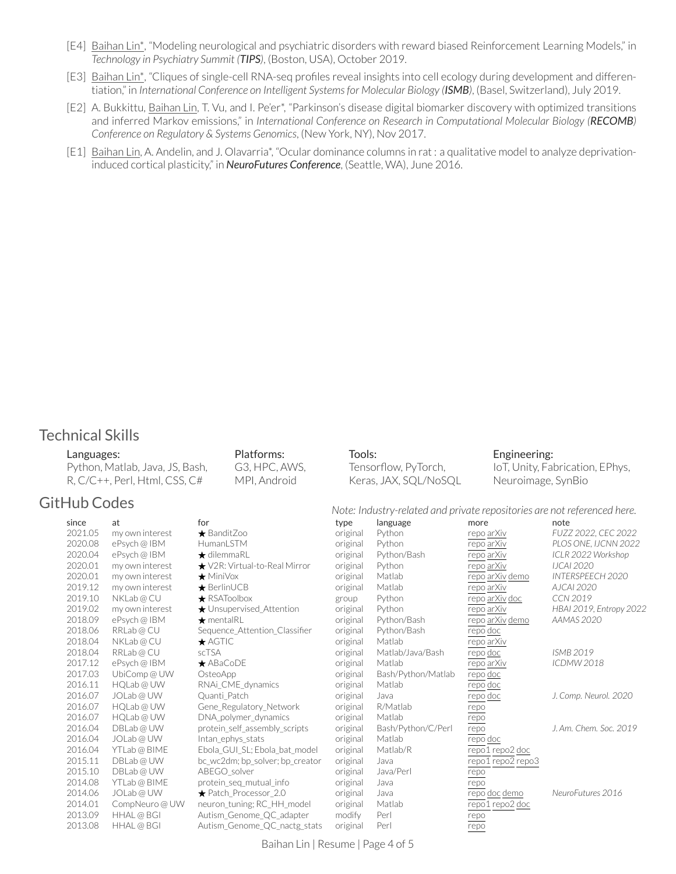- [E4] Baihan Lin\*, "Modeling neurological and psychiatric disorders with reward biased Reinforcement Learning Models," in *Technology in Psychiatry Summit (TIPS)*, (Boston, USA), October 2019.
- [E3] Baihan Lin\*, "Cliques of single-cell RNA-seq profiles reveal insights into cell ecology during development and differentiation," in *International Conference on Intelligent Systemsfor Molecular Biology (ISMB)*, (Basel, Switzerland), July 2019.
- [E2] A. Bukkittu, Baihan Lin, T. Vu, and I. Pe'er\*, "Parkinson's disease digital biomarker discovery with optimized transitions and inferred Markov emissions," in *International Conference on Research in Computational Molecular Biology (RECOMB) Conference on Regulatory & Systems Genomics*, (New York, NY), Nov 2017.
- [E1] Baihan Lin, A. Andelin, and J. Olavarria\*, "Ocular dominance columns in rat : a qualitative model to analyze deprivationinduced cortical plasticity," in *NeuroFutures Conference*, (Seattle, WA), June 2016.

### Technical Skills

#### Languages:

| Python, Matlab, Java, JS, Bash, |
|---------------------------------|
| $R, C/C++, Perl, HtmI, CSS, C#$ |

Platforms: G3, HPC, AWS, MPI, Android

### GitHub Codes *Note: Industry-related and private repositories are not referenced here.*

|         |                 | inote: industry-related and private repositories dre not referenced nere. |          |                    |                   |                         |  |
|---------|-----------------|---------------------------------------------------------------------------|----------|--------------------|-------------------|-------------------------|--|
| since   | at              | for                                                                       | type     | language           | more              | note                    |  |
| 2021.05 | my own interest | $\bigstar$ BanditZoo                                                      | original | Python             | repo arXiv        | FUZZ 2022, CEC 2022     |  |
| 2020.08 | ePsych@IBM      | HumanLSTM                                                                 | original | Python             | repo arXiv        | PLOS ONE, IJCNN 2022    |  |
| 2020.04 | ePsych @ IBM    | $\bigstar$ dilemmaRL                                                      | original | Python/Bash        | repo arXiv        | ICLR 2022 Workshop      |  |
| 2020.01 | my own interest | $\star$ V2R: Virtual-to-Real Mirror                                       | original | Python             | repo arXiv        | <b>IJCAI 2020</b>       |  |
| 2020.01 | my own interest | $\bigstar$ MiniVox                                                        | original | Matlab             | repo arXiv demo   | INTERSPEECH 2020        |  |
| 2019.12 | my own interest | $\bigstar$ BerlinUCB                                                      | original | Matlab             | repo arXiv        | AJCAI 2020              |  |
| 2019.10 | NKLab@CU        | $\bigstar$ RSAToolbox                                                     | group    | Python             | repo arXiv doc    | CCN 2019                |  |
| 2019.02 | my own interest | ★ Unsupervised_Attention                                                  | original | Python             | repo arXiv        | HBAI 2019, Entropy 2022 |  |
| 2018.09 | ePsych@IBM      | $\bigstar$ mentalRL                                                       | original | Python/Bash        | repo arXiv demo   | <b>AAMAS 2020</b>       |  |
| 2018.06 | RRLab@CU        | Sequence Attention Classifier                                             | original | Python/Bash        | repo doc          |                         |  |
| 2018.04 | NKLab@CU        | $\bigstar$ AGTIC                                                          | original | Matlab             | repo arXiv        |                         |  |
| 2018.04 | RRLab@CU        | <b>scTSA</b>                                                              | original | Matlab/Java/Bash   | repo doc          | <b>ISMB 2019</b>        |  |
| 2017.12 | ePsych @ IBM    | $\bigstar$ ABaCoDE                                                        | original | Matlab             | repo arXiv        | <b>ICDMW 2018</b>       |  |
| 2017.03 | UbiComp @ UW    | OsteoApp                                                                  | original | Bash/Python/Matlab | repo doc          |                         |  |
| 2016.11 | HOLab @ UW      | RNAi CME dynamics                                                         | original | Matlab             | repo doc          |                         |  |
| 2016.07 | JOLab @ UW      | Quanti Patch                                                              | original | Java               | repo doc          | J. Comp. Neurol. 2020   |  |
| 2016.07 | HQLab@UW        | Gene Regulatory Network                                                   | original | R/Matlab           | repo              |                         |  |
| 2016.07 | HQLab@UW        | DNA_polymer_dynamics                                                      | original | Matlab             | repo              |                         |  |
| 2016.04 | DBLab@UW        | protein self assembly scripts                                             | original | Bash/Python/C/Perl | repo              | J. Am. Chem. Soc. 2019  |  |
| 2016.04 | JOLab@UW        | Intan ephys stats                                                         | original | Matlab             | repo doc          |                         |  |
| 2016.04 | YTLab@BIME      | Ebola GUI SL; Ebola bat model                                             | original | Matlab/R           | repo1 repo2 doc   |                         |  |
| 2015.11 | DBLab@UW        | bc_wc2dm; bp_solver; bp_creator                                           | original | Java               | repo1 repo2 repo3 |                         |  |
| 2015.10 | DBLab@UW        | ABEGO solver                                                              | original | Java/Perl          | repo              |                         |  |
| 2014.08 | YTLab@BIME      | protein_seq_mutual_info                                                   | original | Java               | repo              |                         |  |
| 2014.06 | JOLab @ UW      | $\bigstar$ Patch Processor 2.0                                            | original | Java               | repo doc demo     | NeuroFutures 2016       |  |
| 2014.01 | CompNeuro @ UW  | neuron_tuning; RC_HH_model                                                | original | Matlab             | repo1 repo2 doc   |                         |  |
| 2013.09 | HHAL @ BGI      | Autism_Genome_QC_adapter                                                  | modify   | Perl               | repo              |                         |  |
| 2013.08 | HHAL @ BGI      | Autism Genome QC nactg stats                                              | original | Perl               | repo              |                         |  |

Tools:

Tensorflow, PyTorch, Keras, JAX, SQL/NoSQL Engineering:

Neuroimage, SynBio

IoT, Unity, Fabrication, EPhys,

Baihan Lin | Resume | Page 4 of [5](#page-4-0)